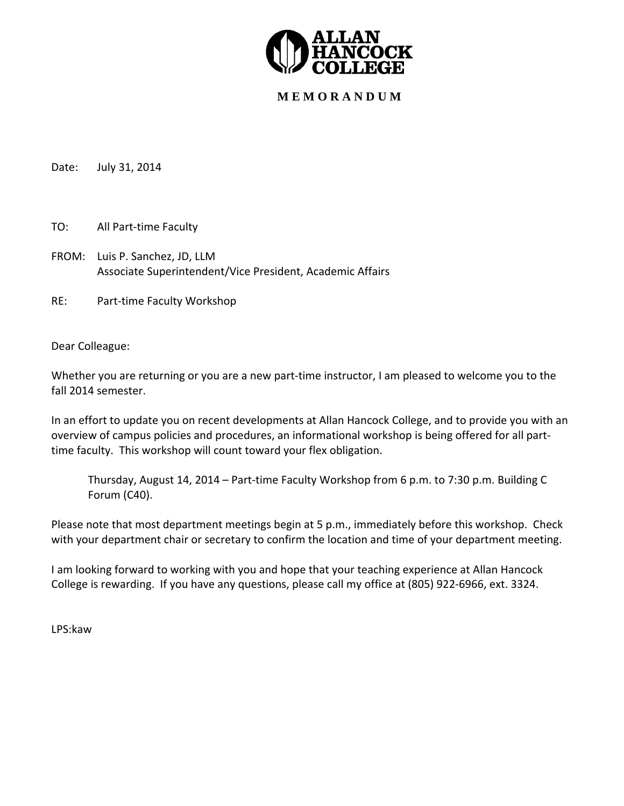

# **M E M O R A N D U M**

Date: July 31, 2014

TO: All Part‐time Faculty

FROM: Luis P. Sanchez, JD, LLM Associate Superintendent/Vice President, Academic Affairs

RE: Part-time Faculty Workshop

Dear Colleague:

Whether you are returning or you are a new part-time instructor, I am pleased to welcome you to the fall 2014 semester.

In an effort to update you on recent developments at Allan Hancock College, and to provide you with an overview of campus policies and procedures, an informational workshop is being offered for all part‐ time faculty. This workshop will count toward your flex obligation.

Thursday, August 14, 2014 – Part‐time Faculty Workshop from 6 p.m. to 7:30 p.m. Building C Forum (C40).

Please note that most department meetings begin at 5 p.m., immediately before this workshop. Check with your department chair or secretary to confirm the location and time of your department meeting.

I am looking forward to working with you and hope that your teaching experience at Allan Hancock College is rewarding. If you have any questions, please call my office at (805) 922‐6966, ext. 3324.

LPS:kaw